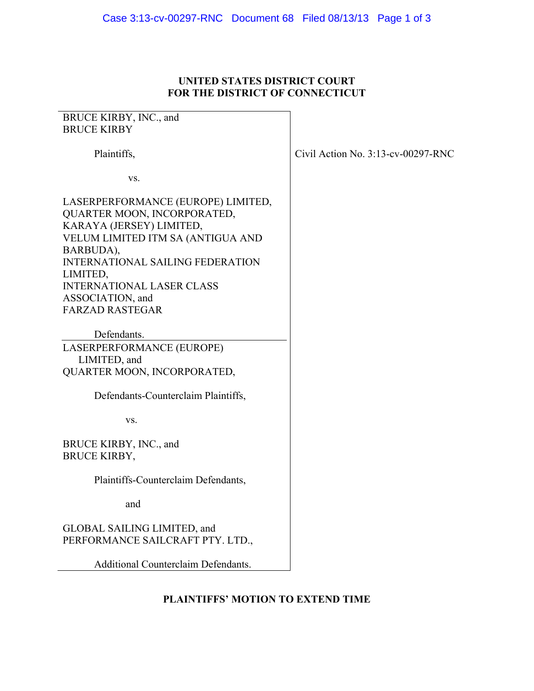## **UNITED STATES DISTRICT COURT FOR THE DISTRICT OF CONNECTICUT**

| BRUCE KIRBY, INC., and<br><b>BRUCE KIRBY</b>                                                                                                                                                                                                                                             |                                       |
|------------------------------------------------------------------------------------------------------------------------------------------------------------------------------------------------------------------------------------------------------------------------------------------|---------------------------------------|
| Plaintiffs,                                                                                                                                                                                                                                                                              | Civil Action No. $3:13$ -cv-00297-RNC |
| VS.                                                                                                                                                                                                                                                                                      |                                       |
| LASERPERFORMANCE (EUROPE) LIMITED,<br>QUARTER MOON, INCORPORATED,<br>KARAYA (JERSEY) LIMITED,<br>VELUM LIMITED ITM SA (ANTIGUA AND<br>BARBUDA),<br><b>INTERNATIONAL SAILING FEDERATION</b><br>LIMITED,<br><b>INTERNATIONAL LASER CLASS</b><br>ASSOCIATION, and<br><b>FARZAD RASTEGAR</b> |                                       |
| Defendants.<br>LASERPERFORMANCE (EUROPE)                                                                                                                                                                                                                                                 |                                       |
| LIMITED, and<br>QUARTER MOON, INCORPORATED,                                                                                                                                                                                                                                              |                                       |
| Defendants-Counterclaim Plaintiffs,                                                                                                                                                                                                                                                      |                                       |
| VS.                                                                                                                                                                                                                                                                                      |                                       |
| BRUCE KIRBY, INC., and<br><b>BRUCE KIRBY,</b>                                                                                                                                                                                                                                            |                                       |
| Plaintiffs-Counterclaim Defendants,                                                                                                                                                                                                                                                      |                                       |
| and                                                                                                                                                                                                                                                                                      |                                       |
| GLOBAL SAILING LIMITED, and<br>PERFORMANCE SAILCRAFT PTY. LTD.,                                                                                                                                                                                                                          |                                       |
| <b>Additional Counterclaim Defendants.</b>                                                                                                                                                                                                                                               |                                       |

## **PLAINTIFFS' MOTION TO EXTEND TIME**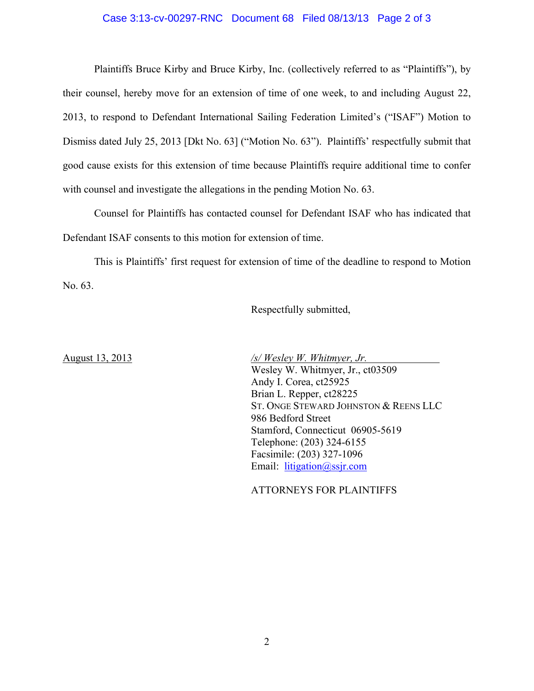## Case 3:13-cv-00297-RNC Document 68 Filed 08/13/13 Page 2 of 3

 Plaintiffs Bruce Kirby and Bruce Kirby, Inc. (collectively referred to as "Plaintiffs"), by their counsel, hereby move for an extension of time of one week, to and including August 22, 2013, to respond to Defendant International Sailing Federation Limited's ("ISAF") Motion to Dismiss dated July 25, 2013 [Dkt No. 63] ("Motion No. 63"). Plaintiffs' respectfully submit that good cause exists for this extension of time because Plaintiffs require additional time to confer with counsel and investigate the allegations in the pending Motion No. 63.

Counsel for Plaintiffs has contacted counsel for Defendant ISAF who has indicated that Defendant ISAF consents to this motion for extension of time.

This is Plaintiffs' first request for extension of time of the deadline to respond to Motion No. 63.

Respectfully submitted,

August 13, 2013 */s/ Wesley W. Whitmyer, Jr.*  Wesley W. Whitmyer, Jr., ct03509 Andy I. Corea, ct25925 Brian L. Repper, ct28225 ST. ONGE STEWARD JOHNSTON & REENS LLC 986 Bedford Street Stamford, Connecticut 06905-5619 Telephone: (203) 324-6155 Facsimile: (203) 327-1096 Email: litigation@ssjr.com

ATTORNEYS FOR PLAINTIFFS